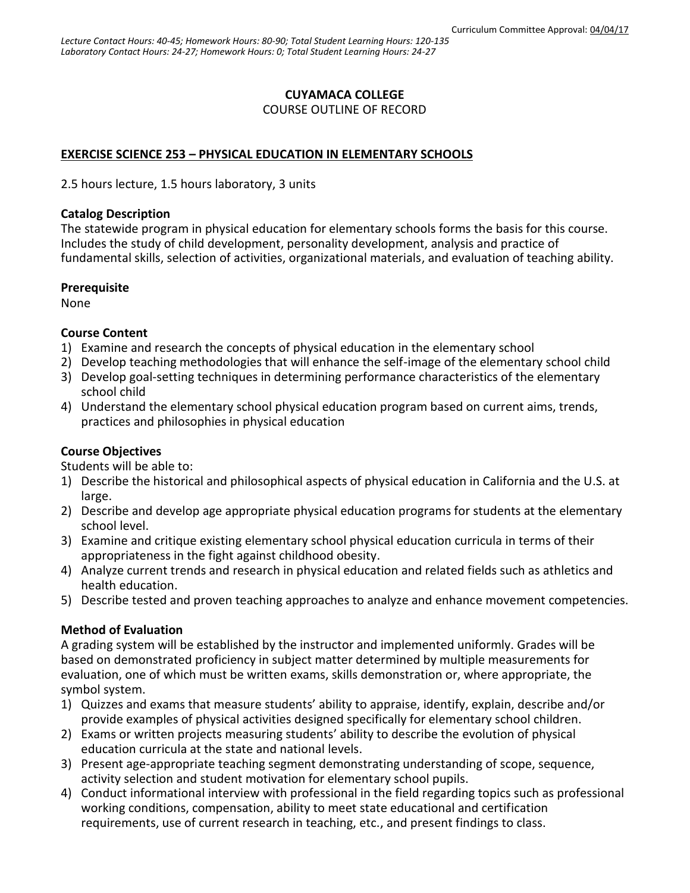# **CUYAMACA COLLEGE**

#### COURSE OUTLINE OF RECORD

## **EXERCISE SCIENCE 253 – PHYSICAL EDUCATION IN ELEMENTARY SCHOOLS**

2.5 hours lecture, 1.5 hours laboratory, 3 units

#### **Catalog Description**

The statewide program in physical education for elementary schools forms the basis for this course. Includes the study of child development, personality development, analysis and practice of fundamental skills, selection of activities, organizational materials, and evaluation of teaching ability.

#### **Prerequisite**

None

## **Course Content**

- 1) Examine and research the concepts of physical education in the elementary school
- 2) Develop teaching methodologies that will enhance the self-image of the elementary school child
- 3) Develop goal-setting techniques in determining performance characteristics of the elementary school child
- 4) Understand the elementary school physical education program based on current aims, trends, practices and philosophies in physical education

## **Course Objectives**

Students will be able to:

- 1) Describe the historical and philosophical aspects of physical education in California and the U.S. at large.
- 2) Describe and develop age appropriate physical education programs for students at the elementary school level.
- 3) Examine and critique existing elementary school physical education curricula in terms of their appropriateness in the fight against childhood obesity.
- 4) Analyze current trends and research in physical education and related fields such as athletics and health education.
- 5) Describe tested and proven teaching approaches to analyze and enhance movement competencies.

## **Method of Evaluation**

A grading system will be established by the instructor and implemented uniformly. Grades will be based on demonstrated proficiency in subject matter determined by multiple measurements for evaluation, one of which must be written exams, skills demonstration or, where appropriate, the symbol system.

- 1) Quizzes and exams that measure students' ability to appraise, identify, explain, describe and/or provide examples of physical activities designed specifically for elementary school children.
- 2) Exams or written projects measuring students' ability to describe the evolution of physical education curricula at the state and national levels.
- 3) Present age-appropriate teaching segment demonstrating understanding of scope, sequence, activity selection and student motivation for elementary school pupils.
- 4) Conduct informational interview with professional in the field regarding topics such as professional working conditions, compensation, ability to meet state educational and certification requirements, use of current research in teaching, etc., and present findings to class.